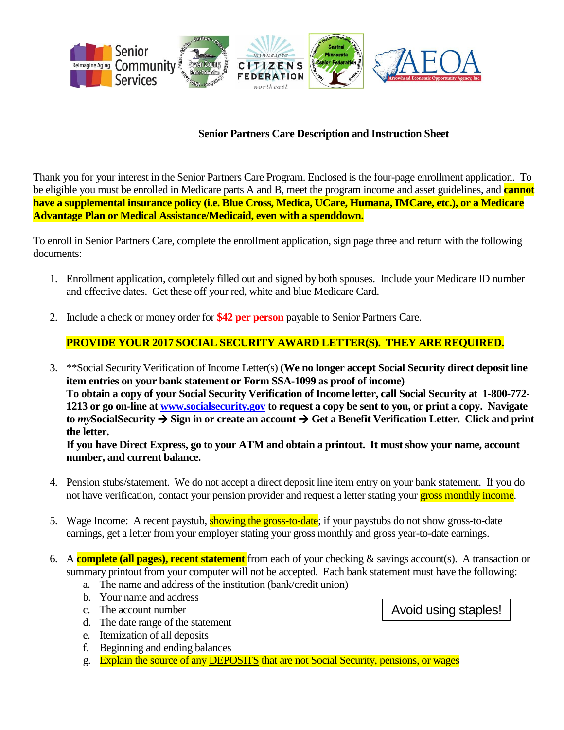

## **Senior Partners Care Description and Instruction Sheet**

Thank you for your interest in the Senior Partners Care Program. Enclosed is the four-page enrollment application. To be eligible you must be enrolled in Medicare parts A and B, meet the program income and asset guidelines, and **cannot have a supplemental insurance policy (i.e. Blue Cross, Medica, UCare, Humana, IMCare, etc.), or a Medicare Advantage Plan or Medical Assistance/Medicaid, even with a spenddown.**

To enroll in Senior Partners Care, complete the enrollment application, sign page three and return with the following documents:

- 1. Enrollment application, completely filled out and signed by both spouses. Include your Medicare ID number and effective dates. Get these off your red, white and blue Medicare Card.
- 2. Include a check or money order for **\$42 per person** payable to Senior Partners Care.

## **PROVIDE YOUR 2017 SOCIAL SECURITY AWARD LETTER(S). THEY ARE REQUIRED.**

3. \*\*Social Security Verification of Income Letter(s) **(We no longer accept Social Security direct deposit line item entries on your bank statement or Form SSA-1099 as proof of income) To obtain a copy of your Social Security Verification of Income letter, call Social Security at 1-800-772- 1213 or go on-line at [www.socialsecurity.gov](http://www.socialsecurity.gov/) to request a copy be sent to you, or print a copy. Navigate**  to *my* Social Security  $\rightarrow$  Sign in or create an account  $\rightarrow$  Get a Benefit Verification Letter. Click and print **the letter.**

**If you have Direct Express, go to your ATM and obtain a printout. It must show your name, account number, and current balance.**

- 4. Pension stubs/statement. We do not accept a direct deposit line item entry on your bank statement. If you do not have verification, contact your pension provider and request a letter stating your gross monthly income.
- 5. Wage Income: A recent paystub, showing the gross-to-date; if your paystubs do not show gross-to-date earnings, get a letter from your employer stating your gross monthly and gross year-to-date earnings.
- 6. A **complete (all pages), recent statement** from each of your checking & savings account(s). A transaction or summary printout from your computer will not be accepted. Each bank statement must have the following:
	- a. The name and address of the institution (bank/credit union)
	- b. Your name and address
	- c. The account number
	- d. The date range of the statement
	- e. Itemization of all deposits
	- f. Beginning and ending balances
	- g. Explain the source of any DEPOSITS that are not Social Security, pensions, or wages

Avoid using staples!